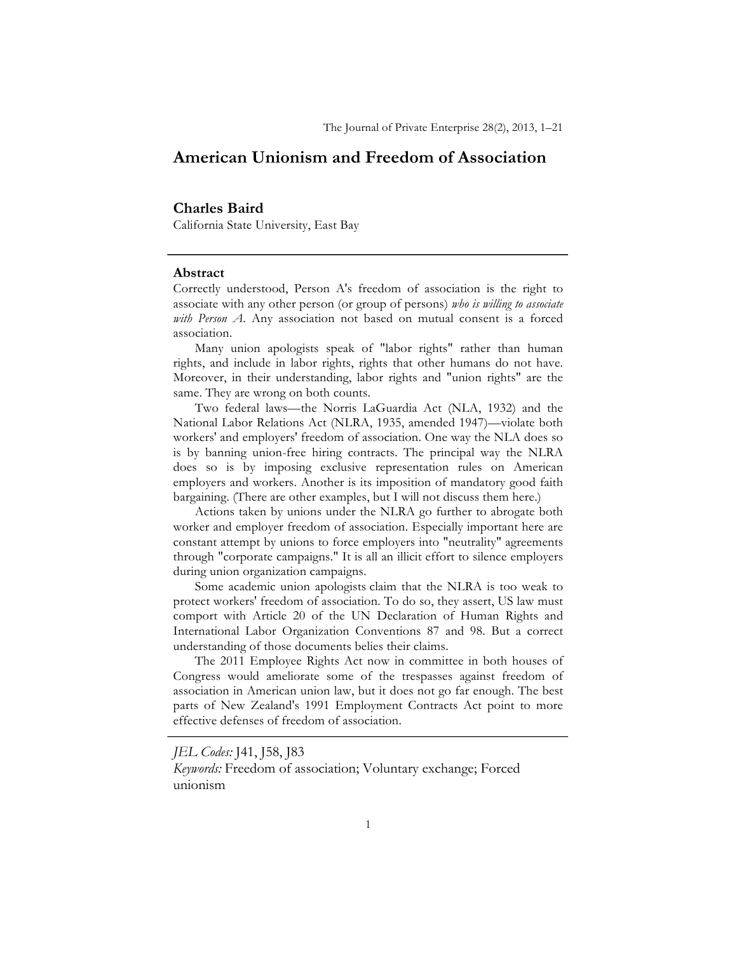# **American Unionism and Freedom of Association**

### **Charles Baird**

California State University, East Bay

#### **Abstract**

Correctly understood, Person A's freedom of association is the right to associate with any other person (or group of persons) *who is willing to associate with Person A*. Any association not based on mutual consent is a forced association.

Many union apologists speak of "labor rights" rather than human rights, and include in labor rights, rights that other humans do not have. Moreover, in their understanding, labor rights and "union rights" are the same. They are wrong on both counts.

Two federal laws—the Norris LaGuardia Act (NLA, 1932) and the National Labor Relations Act (NLRA, 1935, amended 1947)—violate both workers' and employers' freedom of association. One way the NLA does so is by banning union-free hiring contracts. The principal way the NLRA does so is by imposing exclusive representation rules on American employers and workers. Another is its imposition of mandatory good faith bargaining. (There are other examples, but I will not discuss them here.)

Actions taken by unions under the NLRA go further to abrogate both worker and employer freedom of association. Especially important here are constant attempt by unions to force employers into "neutrality" agreements through "corporate campaigns." It is all an illicit effort to silence employers during union organization campaigns.

Some academic union apologists claim that the NLRA is too weak to protect workers' freedom of association. To do so, they assert, US law must comport with Article 20 of the UN Declaration of Human Rights and International Labor Organization Conventions 87 and 98. But a correct understanding of those documents belies their claims.

The 2011 Employee Rights Act now in committee in both houses of Congress would ameliorate some of the trespasses against freedom of association in American union law, but it does not go far enough. The best parts of New Zealand's 1991 Employment Contracts Act point to more effective defenses of freedom of association.

*JEL Codes:* J41, J58, J83

*Keywords:* Freedom of association; Voluntary exchange; Forced unionism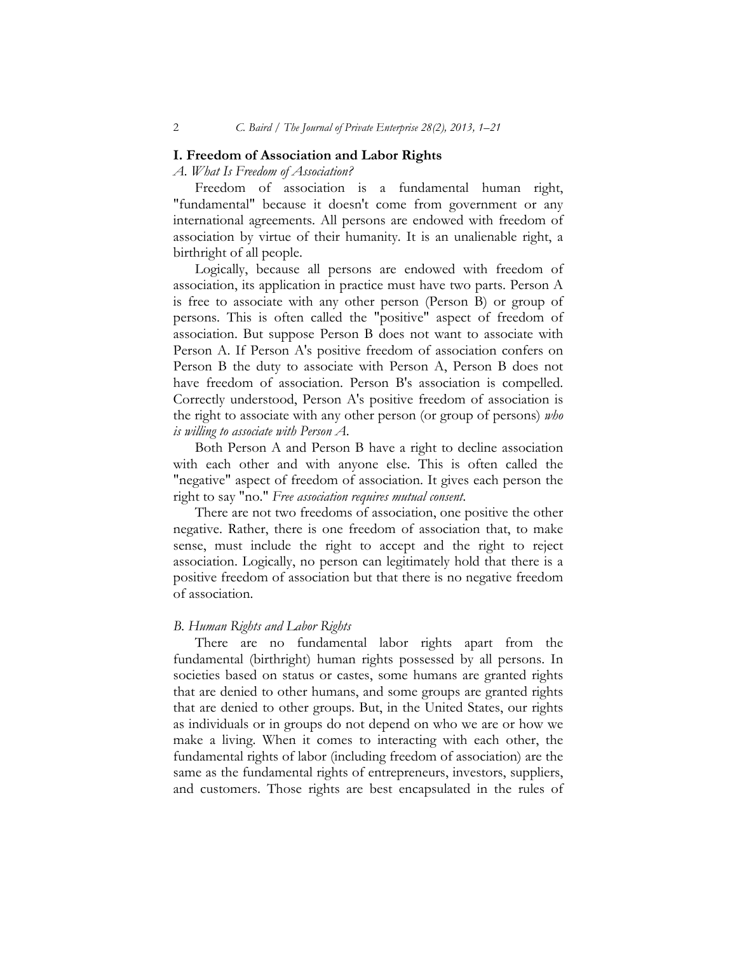#### **I. Freedom of Association and Labor Rights**

## *A. What Is Freedom of Association?*

Freedom of association is a fundamental human right, "fundamental" because it doesn't come from government or any international agreements. All persons are endowed with freedom of association by virtue of their humanity. It is an unalienable right, a birthright of all people.

Logically, because all persons are endowed with freedom of association, its application in practice must have two parts. Person A is free to associate with any other person (Person B) or group of persons. This is often called the "positive" aspect of freedom of association. But suppose Person B does not want to associate with Person A. If Person A's positive freedom of association confers on Person B the duty to associate with Person A, Person B does not have freedom of association. Person B's association is compelled. Correctly understood, Person A's positive freedom of association is the right to associate with any other person (or group of persons) *who is willing to associate with Person A*.

Both Person A and Person B have a right to decline association with each other and with anyone else. This is often called the "negative" aspect of freedom of association. It gives each person the right to say "no." *Free association requires mutual consent*.

There are not two freedoms of association, one positive the other negative. Rather, there is one freedom of association that, to make sense, must include the right to accept and the right to reject association. Logically, no person can legitimately hold that there is a positive freedom of association but that there is no negative freedom of association.

#### *B. Human Rights and Labor Rights*

There are no fundamental labor rights apart from the fundamental (birthright) human rights possessed by all persons. In societies based on status or castes, some humans are granted rights that are denied to other humans, and some groups are granted rights that are denied to other groups. But, in the United States, our rights as individuals or in groups do not depend on who we are or how we make a living. When it comes to interacting with each other, the fundamental rights of labor (including freedom of association) are the same as the fundamental rights of entrepreneurs, investors, suppliers, and customers. Those rights are best encapsulated in the rules of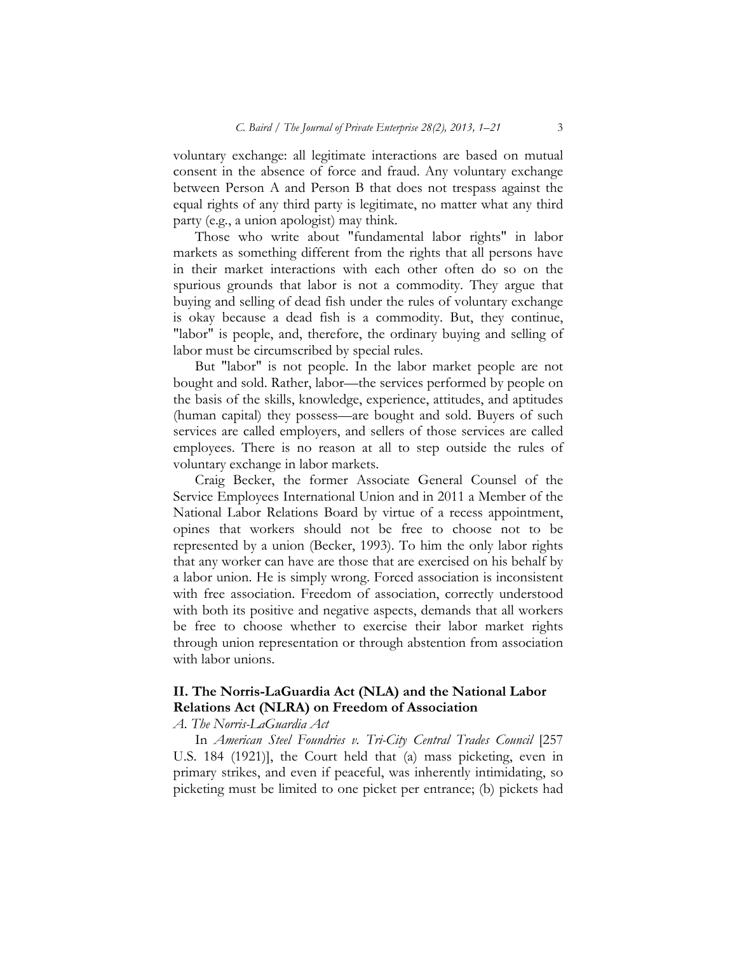voluntary exchange: all legitimate interactions are based on mutual consent in the absence of force and fraud. Any voluntary exchange between Person A and Person B that does not trespass against the equal rights of any third party is legitimate, no matter what any third party (e.g*.*, a union apologist) may think.

Those who write about "fundamental labor rights" in labor markets as something different from the rights that all persons have in their market interactions with each other often do so on the spurious grounds that labor is not a commodity. They argue that buying and selling of dead fish under the rules of voluntary exchange is okay because a dead fish is a commodity. But, they continue, "labor" is people, and, therefore, the ordinary buying and selling of labor must be circumscribed by special rules.

But "labor" is not people. In the labor market people are not bought and sold. Rather, labor—the services performed by people on the basis of the skills, knowledge, experience, attitudes, and aptitudes (human capital) they possess—are bought and sold. Buyers of such services are called employers, and sellers of those services are called employees. There is no reason at all to step outside the rules of voluntary exchange in labor markets.

Craig Becker, the former Associate General Counsel of the Service Employees International Union and in 2011 a Member of the National Labor Relations Board by virtue of a recess appointment, opines that workers should not be free to choose not to be represented by a union (Becker, 1993). To him the only labor rights that any worker can have are those that are exercised on his behalf by a labor union. He is simply wrong. Forced association is inconsistent with free association. Freedom of association, correctly understood with both its positive and negative aspects, demands that all workers be free to choose whether to exercise their labor market rights through union representation or through abstention from association with labor unions.

## **II. The Norris-LaGuardia Act (NLA) and the National Labor Relations Act (NLRA) on Freedom of Association**

#### *A. The Norris-LaGuardia Act*

In *American Steel Foundries v. Tri-City Central Trades Council* [257 U.S. 184 (1921)], the Court held that (a) mass picketing, even in primary strikes, and even if peaceful, was inherently intimidating, so picketing must be limited to one picket per entrance; (b) pickets had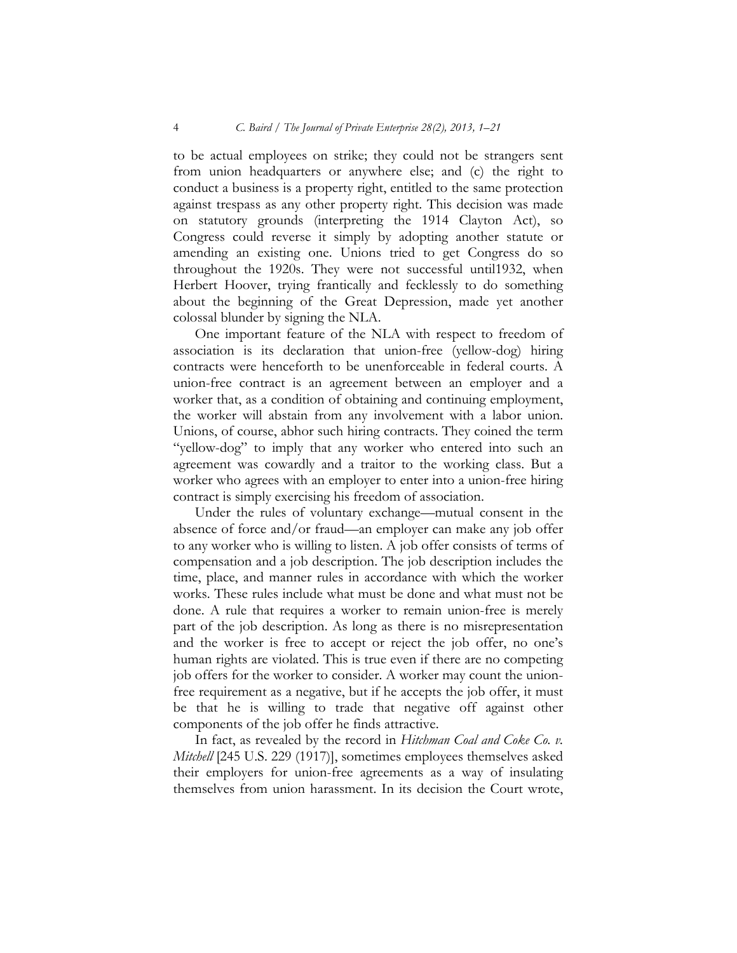to be actual employees on strike; they could not be strangers sent from union headquarters or anywhere else; and (c) the right to conduct a business is a property right, entitled to the same protection against trespass as any other property right. This decision was made on statutory grounds (interpreting the 1914 Clayton Act), so Congress could reverse it simply by adopting another statute or amending an existing one. Unions tried to get Congress do so throughout the 1920s. They were not successful until1932, when Herbert Hoover, trying frantically and fecklessly to do something about the beginning of the Great Depression, made yet another colossal blunder by signing the NLA.

One important feature of the NLA with respect to freedom of association is its declaration that union-free (yellow-dog) hiring contracts were henceforth to be unenforceable in federal courts. A union-free contract is an agreement between an employer and a worker that, as a condition of obtaining and continuing employment, the worker will abstain from any involvement with a labor union. Unions, of course, abhor such hiring contracts. They coined the term "yellow-dog" to imply that any worker who entered into such an agreement was cowardly and a traitor to the working class. But a worker who agrees with an employer to enter into a union-free hiring contract is simply exercising his freedom of association.

Under the rules of voluntary exchange—mutual consent in the absence of force and/or fraud—an employer can make any job offer to any worker who is willing to listen. A job offer consists of terms of compensation and a job description. The job description includes the time, place, and manner rules in accordance with which the worker works. These rules include what must be done and what must not be done. A rule that requires a worker to remain union-free is merely part of the job description. As long as there is no misrepresentation and the worker is free to accept or reject the job offer, no one's human rights are violated. This is true even if there are no competing job offers for the worker to consider. A worker may count the unionfree requirement as a negative, but if he accepts the job offer, it must be that he is willing to trade that negative off against other components of the job offer he finds attractive.

In fact, as revealed by the record in *Hitchman Coal and Coke Co. v. Mitchell* [245 U.S. 229 (1917)], sometimes employees themselves asked their employers for union-free agreements as a way of insulating themselves from union harassment. In its decision the Court wrote,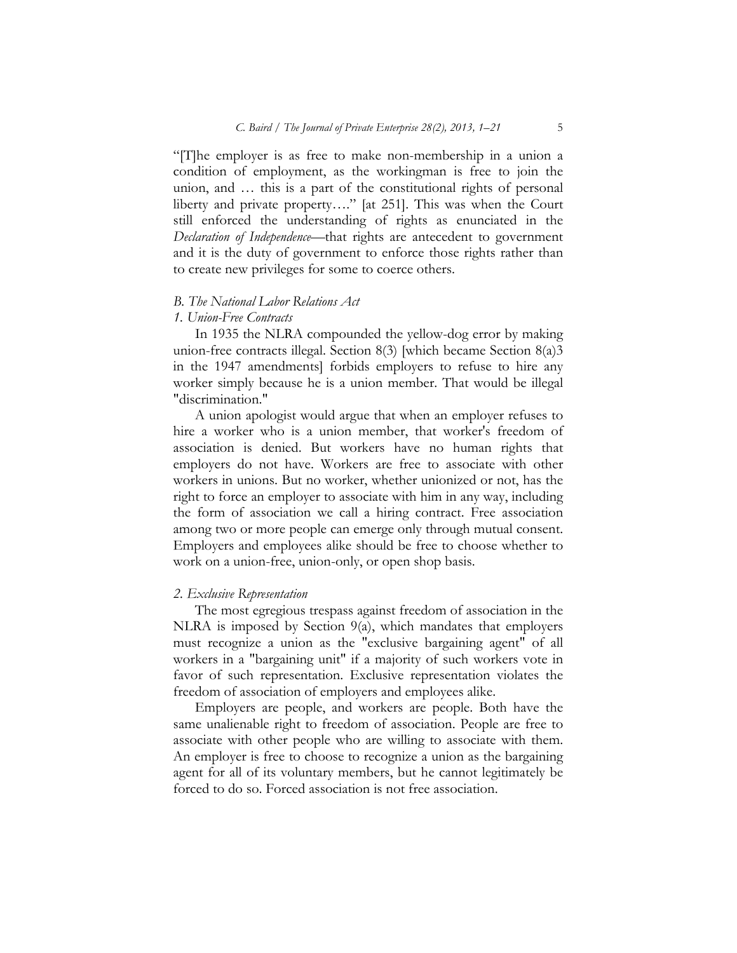"[T]he employer is as free to make non-membership in a union a condition of employment, as the workingman is free to join the union, and … this is a part of the constitutional rights of personal liberty and private property…." [at 251]. This was when the Court still enforced the understanding of rights as enunciated in the *Declaration of Independence*—that rights are antecedent to government and it is the duty of government to enforce those rights rather than to create new privileges for some to coerce others.

#### *B. The National Labor Relations Act*

#### *1. Union-Free Contracts*

In 1935 the NLRA compounded the yellow-dog error by making union-free contracts illegal. Section 8(3) [which became Section 8(a)3 in the 1947 amendments] forbids employers to refuse to hire any worker simply because he is a union member. That would be illegal "discrimination."

A union apologist would argue that when an employer refuses to hire a worker who is a union member, that worker's freedom of association is denied. But workers have no human rights that employers do not have. Workers are free to associate with other workers in unions. But no worker, whether unionized or not, has the right to force an employer to associate with him in any way, including the form of association we call a hiring contract. Free association among two or more people can emerge only through mutual consent. Employers and employees alike should be free to choose whether to work on a union-free, union-only, or open shop basis.

## *2. Exclusive Representation*

The most egregious trespass against freedom of association in the NLRA is imposed by Section 9(a), which mandates that employers must recognize a union as the "exclusive bargaining agent" of all workers in a "bargaining unit" if a majority of such workers vote in favor of such representation. Exclusive representation violates the freedom of association of employers and employees alike.

Employers are people, and workers are people. Both have the same unalienable right to freedom of association. People are free to associate with other people who are willing to associate with them. An employer is free to choose to recognize a union as the bargaining agent for all of its voluntary members, but he cannot legitimately be forced to do so. Forced association is not free association.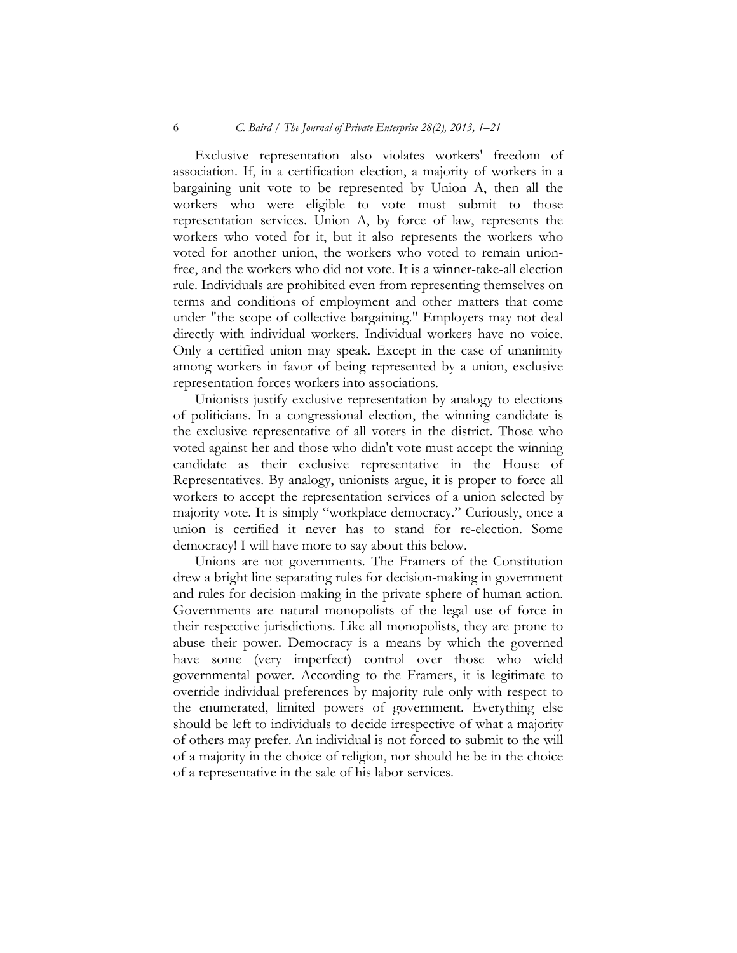#### 6 *C. Baird / The Journal of Private Enterprise 28(2), 2013, 1–21*

Exclusive representation also violates workers' freedom of association. If, in a certification election, a majority of workers in a bargaining unit vote to be represented by Union A, then all the workers who were eligible to vote must submit to those representation services. Union A, by force of law, represents the workers who voted for it, but it also represents the workers who voted for another union, the workers who voted to remain unionfree, and the workers who did not vote. It is a winner-take-all election rule. Individuals are prohibited even from representing themselves on terms and conditions of employment and other matters that come under "the scope of collective bargaining." Employers may not deal directly with individual workers. Individual workers have no voice. Only a certified union may speak. Except in the case of unanimity among workers in favor of being represented by a union, exclusive representation forces workers into associations.

Unionists justify exclusive representation by analogy to elections of politicians. In a congressional election, the winning candidate is the exclusive representative of all voters in the district. Those who voted against her and those who didn't vote must accept the winning candidate as their exclusive representative in the House of Representatives. By analogy, unionists argue, it is proper to force all workers to accept the representation services of a union selected by majority vote. It is simply "workplace democracy." Curiously, once a union is certified it never has to stand for re-election. Some democracy! I will have more to say about this below.

Unions are not governments. The Framers of the Constitution drew a bright line separating rules for decision-making in government and rules for decision-making in the private sphere of human action. Governments are natural monopolists of the legal use of force in their respective jurisdictions. Like all monopolists, they are prone to abuse their power. Democracy is a means by which the governed have some (very imperfect) control over those who wield governmental power. According to the Framers, it is legitimate to override individual preferences by majority rule only with respect to the enumerated, limited powers of government. Everything else should be left to individuals to decide irrespective of what a majority of others may prefer. An individual is not forced to submit to the will of a majority in the choice of religion, nor should he be in the choice of a representative in the sale of his labor services.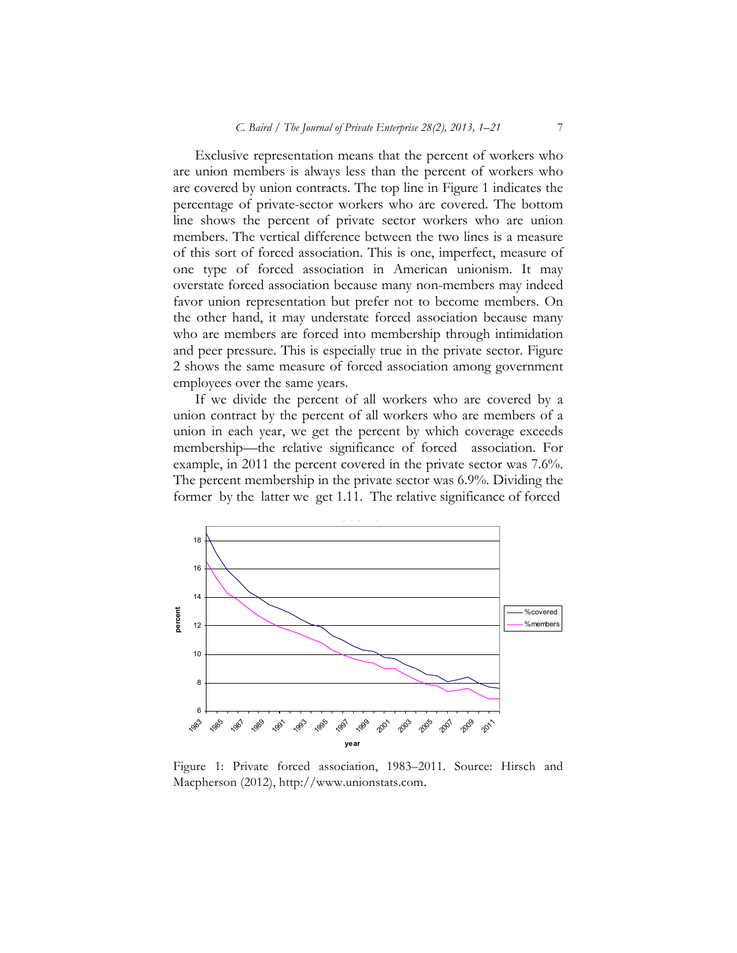Exclusive representation means that the percent of workers who are union members is always less than the percent of workers who are covered by union contracts. The top line in Figure 1 indicates the percentage of private-sector workers who are covered. The bottom line shows the percent of private sector workers who are union members. The vertical difference between the two lines is a measure of this sort of forced association. This is one, imperfect, measure of one type of forced association in American unionism. It may overstate forced association because many non-members may indeed favor union representation but prefer not to become members. On the other hand, it may understate forced association because many who are members are forced into membership through intimidation and peer pressure. This is especially true in the private sector. Figure 2 shows the same measure of forced association among government employees over the same years.

If we divide the percent of all workers who are covered by a union contract by the percent of all workers who are members of a union in each year, we get the percent by which coverage exceeds membership—the relative significance of forced association. For example, in 2011 the percent covered in the private sector was 7.6%. The percent membership in the private sector was 6.9%. Dividing the former by the latter we get 1.11. The relative significance of forced



Figure 1: Private forced association, 1983–2011. Source: Hirsch and Macpherson (2012), http://www.unionstats.com.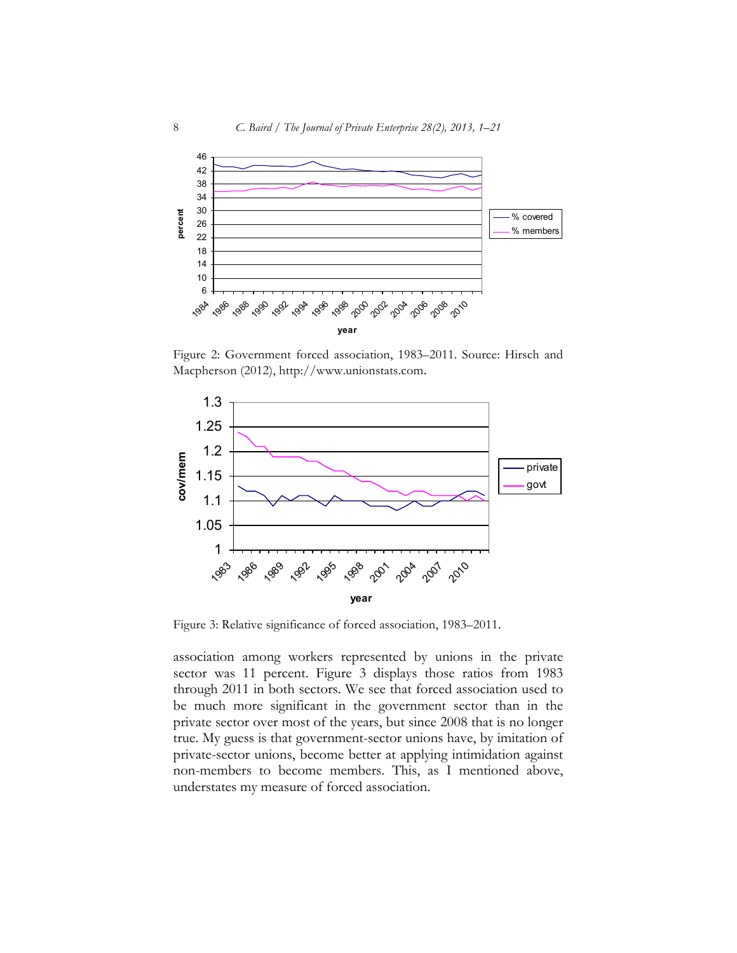

Figure 2: Government forced association, 1983-2011. Source: Hirsch and Macpherson (2012), http://www.unionstats.com.



Figure 3: Relative significance of forced association, 1983–2011.

association among workers represented by unions in the private sector was 11 percent. Figure 3 displays those ratios from 1983 through 2011 in both sectors. We see that forced association used to be much more significant in the government sector than in the private sector over most of the years, but since 2008 that is no longer true. My guess is that government-sector unions have, by imitation of private-sector unions, become better at applying intimidation against non-members to become members. This, as I mentioned above, understates my measure of forced association.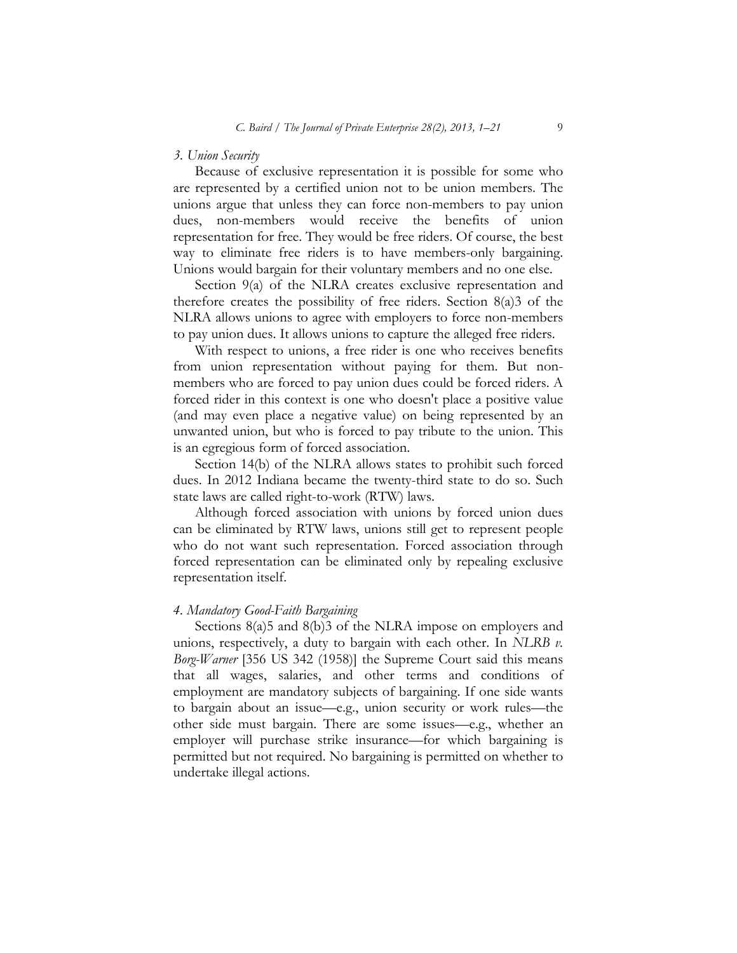### *3. Union Security*

Because of exclusive representation it is possible for some who are represented by a certified union not to be union members. The unions argue that unless they can force non-members to pay union dues, non-members would receive the benefits of union representation for free. They would be free riders. Of course, the best way to eliminate free riders is to have members-only bargaining. Unions would bargain for their voluntary members and no one else.

Section 9(a) of the NLRA creates exclusive representation and therefore creates the possibility of free riders. Section 8(a)3 of the NLRA allows unions to agree with employers to force non-members to pay union dues. It allows unions to capture the alleged free riders.

With respect to unions, a free rider is one who receives benefits from union representation without paying for them. But nonmembers who are forced to pay union dues could be forced riders. A forced rider in this context is one who doesn't place a positive value (and may even place a negative value) on being represented by an unwanted union, but who is forced to pay tribute to the union. This is an egregious form of forced association.

Section 14(b) of the NLRA allows states to prohibit such forced dues. In 2012 Indiana became the twenty-third state to do so. Such state laws are called right-to-work (RTW) laws.

Although forced association with unions by forced union dues can be eliminated by RTW laws, unions still get to represent people who do not want such representation. Forced association through forced representation can be eliminated only by repealing exclusive representation itself.

## *4. Mandatory Good-Faith Bargaining*

Sections 8(a)5 and 8(b)3 of the NLRA impose on employers and unions, respectively, a duty to bargain with each other. In *NLRB v. Borg-Warner* [356 US 342 (1958)] the Supreme Court said this means that all wages, salaries, and other terms and conditions of employment are mandatory subjects of bargaining. If one side wants to bargain about an issue—e.g., union security or work rules—the other side must bargain. There are some issues—e.g., whether an employer will purchase strike insurance—for which bargaining is permitted but not required. No bargaining is permitted on whether to undertake illegal actions.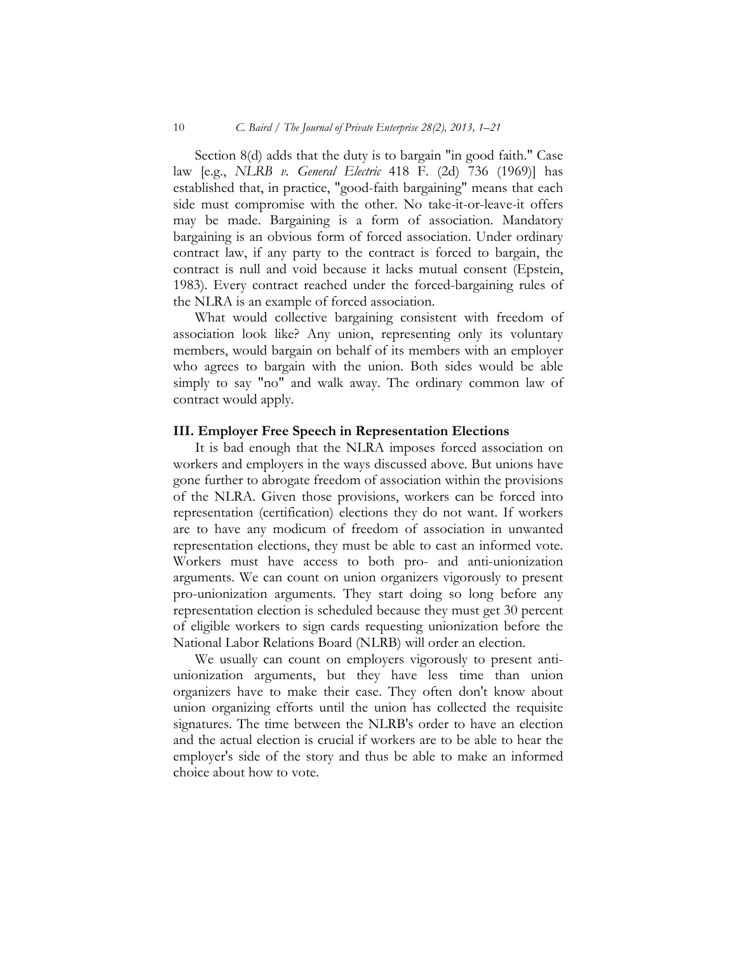#### 10 *C. Baird / The Journal of Private Enterprise 28(2), 2013, 1–21*

Section 8(d) adds that the duty is to bargain "in good faith." Case law [e.g., *NLRB v. General Electric* 418 F. (2d) 736 (1969)] has established that, in practice, "good-faith bargaining" means that each side must compromise with the other. No take-it-or-leave-it offers may be made. Bargaining is a form of association. Mandatory bargaining is an obvious form of forced association. Under ordinary contract law, if any party to the contract is forced to bargain, the contract is null and void because it lacks mutual consent (Epstein, 1983). Every contract reached under the forced-bargaining rules of the NLRA is an example of forced association.

What would collective bargaining consistent with freedom of association look like? Any union, representing only its voluntary members, would bargain on behalf of its members with an employer who agrees to bargain with the union. Both sides would be able simply to say "no" and walk away. The ordinary common law of contract would apply.

#### **III. Employer Free Speech in Representation Elections**

It is bad enough that the NLRA imposes forced association on workers and employers in the ways discussed above. But unions have gone further to abrogate freedom of association within the provisions of the NLRA. Given those provisions, workers can be forced into representation (certification) elections they do not want. If workers are to have any modicum of freedom of association in unwanted representation elections, they must be able to cast an informed vote. Workers must have access to both pro- and anti-unionization arguments. We can count on union organizers vigorously to present pro-unionization arguments. They start doing so long before any representation election is scheduled because they must get 30 percent of eligible workers to sign cards requesting unionization before the National Labor Relations Board (NLRB) will order an election.

We usually can count on employers vigorously to present antiunionization arguments, but they have less time than union organizers have to make their case. They often don't know about union organizing efforts until the union has collected the requisite signatures. The time between the NLRB's order to have an election and the actual election is crucial if workers are to be able to hear the employer's side of the story and thus be able to make an informed choice about how to vote.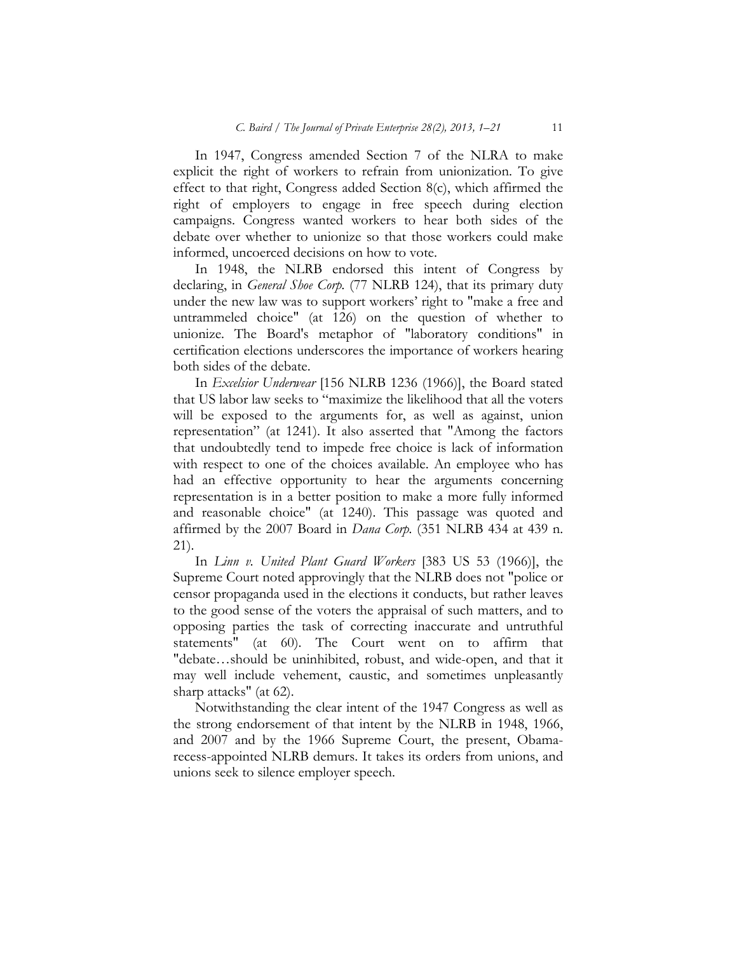In 1947, Congress amended Section 7 of the NLRA to make explicit the right of workers to refrain from unionization. To give effect to that right, Congress added Section 8(c), which affirmed the right of employers to engage in free speech during election campaigns. Congress wanted workers to hear both sides of the debate over whether to unionize so that those workers could make informed, uncoerced decisions on how to vote.

In 1948, the NLRB endorsed this intent of Congress by declaring, in *General Shoe Corp.* (77 NLRB 124), that its primary duty under the new law was to support workers' right to "make a free and untrammeled choice" (at 126) on the question of whether to unionize. The Board's metaphor of "laboratory conditions" in certification elections underscores the importance of workers hearing both sides of the debate.

In *Excelsior Underwear* [156 NLRB 1236 (1966)], the Board stated that US labor law seeks to "maximize the likelihood that all the voters will be exposed to the arguments for, as well as against, union representation" (at 1241). It also asserted that "Among the factors that undoubtedly tend to impede free choice is lack of information with respect to one of the choices available. An employee who has had an effective opportunity to hear the arguments concerning representation is in a better position to make a more fully informed and reasonable choice" (at 1240). This passage was quoted and affirmed by the 2007 Board in *Dana Corp.* (351 NLRB 434 at 439 n. 21).

In *Linn v. United Plant Guard Workers* [383 US 53 (1966)], the Supreme Court noted approvingly that the NLRB does not "police or censor propaganda used in the elections it conducts, but rather leaves to the good sense of the voters the appraisal of such matters, and to opposing parties the task of correcting inaccurate and untruthful statements" (at 60). The Court went on to affirm that "debate…should be uninhibited, robust, and wide-open, and that it may well include vehement, caustic, and sometimes unpleasantly sharp attacks" (at 62).

Notwithstanding the clear intent of the 1947 Congress as well as the strong endorsement of that intent by the NLRB in 1948, 1966, and 2007 and by the 1966 Supreme Court, the present, Obamarecess-appointed NLRB demurs. It takes its orders from unions, and unions seek to silence employer speech.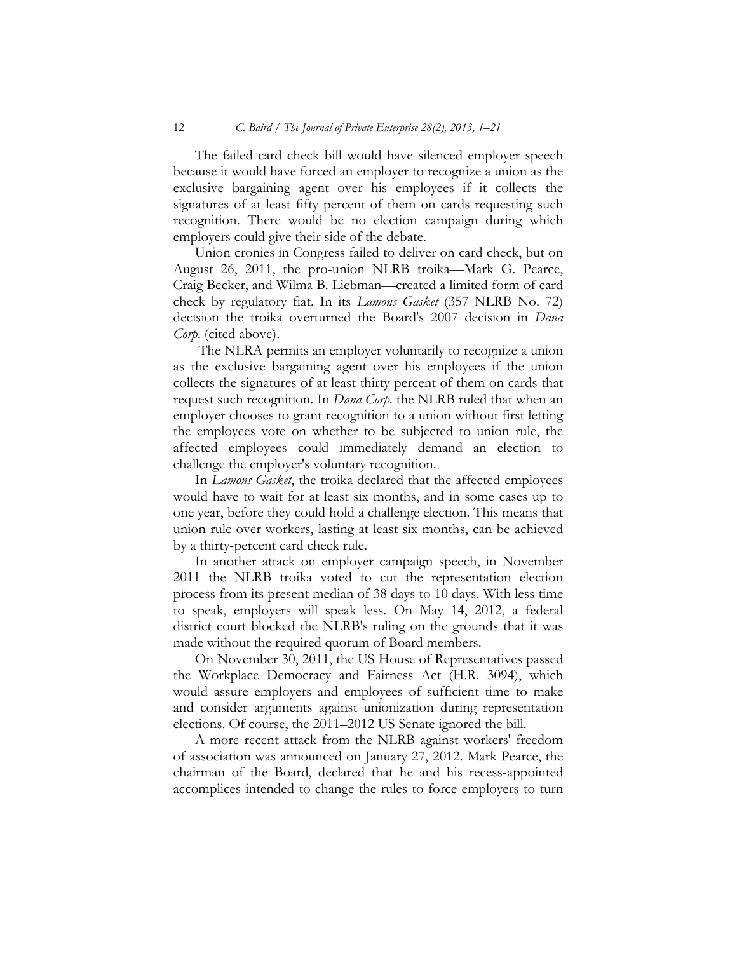The failed card check bill would have silenced employer speech because it would have forced an employer to recognize a union as the exclusive bargaining agent over his employees if it collects the signatures of at least fifty percent of them on cards requesting such recognition. There would be no election campaign during which employers could give their side of the debate.

Union cronies in Congress failed to deliver on card check, but on August 26, 2011, the pro-union NLRB troika—Mark G. Pearce, Craig Becker, and Wilma B. Liebman—created a limited form of card check by regulatory fiat. In its *Lamons Gasket* (357 NLRB No. 72) decision the troika overturned the Board's 2007 decision in *Dana Corp*. (cited above).

The NLRA permits an employer voluntarily to recognize a union as the exclusive bargaining agent over his employees if the union collects the signatures of at least thirty percent of them on cards that request such recognition. In *Dana Corp.* the NLRB ruled that when an employer chooses to grant recognition to a union without first letting the employees vote on whether to be subjected to union rule, the affected employees could immediately demand an election to challenge the employer's voluntary recognition.

In *Lamons Gasket*, the troika declared that the affected employees would have to wait for at least six months, and in some cases up to one year, before they could hold a challenge election. This means that union rule over workers, lasting at least six months, can be achieved by a thirty-percent card check rule.

In another attack on employer campaign speech, in November 2011 the NLRB troika voted to cut the representation election process from its present median of 38 days to 10 days. With less time to speak, employers will speak less. On May 14, 2012, a federal district court blocked the NLRB's ruling on the grounds that it was made without the required quorum of Board members.

On November 30, 2011, the US House of Representatives passed the Workplace Democracy and Fairness Act (H.R. 3094), which would assure employers and employees of sufficient time to make and consider arguments against unionization during representation elections. Of course, the 2011–2012 US Senate ignored the bill.

A more recent attack from the NLRB against workers' freedom of association was announced on January 27, 2012. Mark Pearce, the chairman of the Board, declared that he and his recess-appointed accomplices intended to change the rules to force employers to turn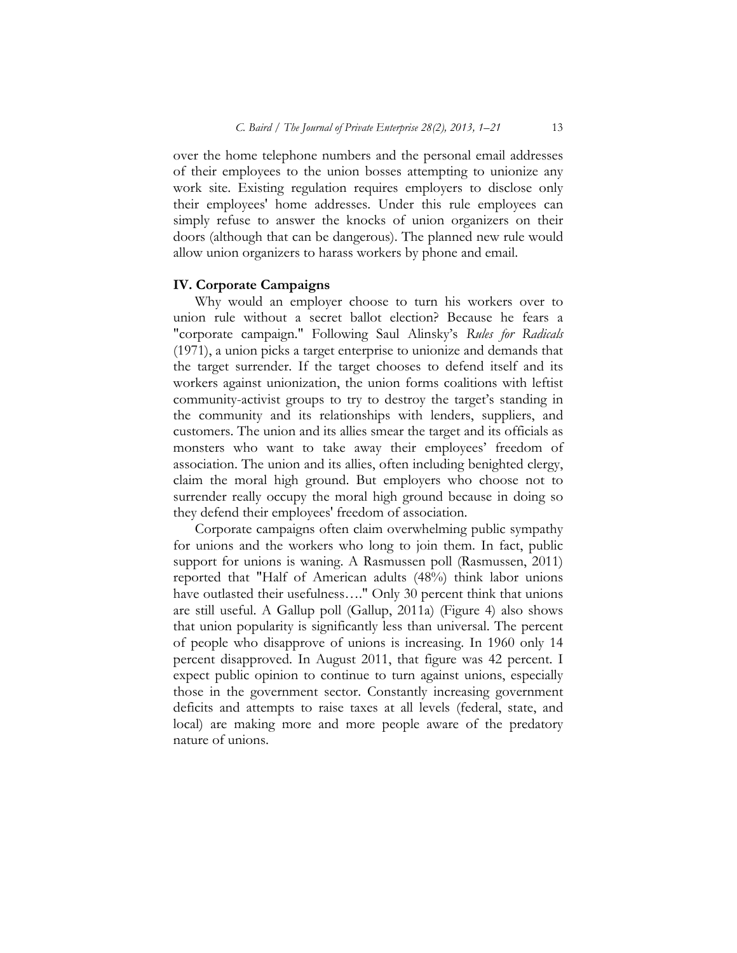over the home telephone numbers and the personal email addresses of their employees to the union bosses attempting to unionize any work site. Existing regulation requires employers to disclose only their employees' home addresses. Under this rule employees can simply refuse to answer the knocks of union organizers on their doors (although that can be dangerous). The planned new rule would allow union organizers to harass workers by phone and email.

#### **IV. Corporate Campaigns**

Why would an employer choose to turn his workers over to union rule without a secret ballot election? Because he fears a "corporate campaign." Following Saul Alinsky's *Rules for Radicals* (1971), a union picks a target enterprise to unionize and demands that the target surrender. If the target chooses to defend itself and its workers against unionization, the union forms coalitions with leftist community-activist groups to try to destroy the target's standing in the community and its relationships with lenders, suppliers, and customers. The union and its allies smear the target and its officials as monsters who want to take away their employees' freedom of association. The union and its allies, often including benighted clergy, claim the moral high ground. But employers who choose not to surrender really occupy the moral high ground because in doing so they defend their employees' freedom of association.

Corporate campaigns often claim overwhelming public sympathy for unions and the workers who long to join them. In fact, public support for unions is waning. A Rasmussen poll (Rasmussen, 2011) reported that "Half of American adults (48%) think labor unions have outlasted their usefulness...." Only 30 percent think that unions are still useful. A Gallup poll (Gallup, 2011a) (Figure 4) also shows that union popularity is significantly less than universal. The percent of people who disapprove of unions is increasing. In 1960 only 14 percent disapproved. In August 2011, that figure was 42 percent. I expect public opinion to continue to turn against unions, especially those in the government sector. Constantly increasing government deficits and attempts to raise taxes at all levels (federal, state, and local) are making more and more people aware of the predatory nature of unions.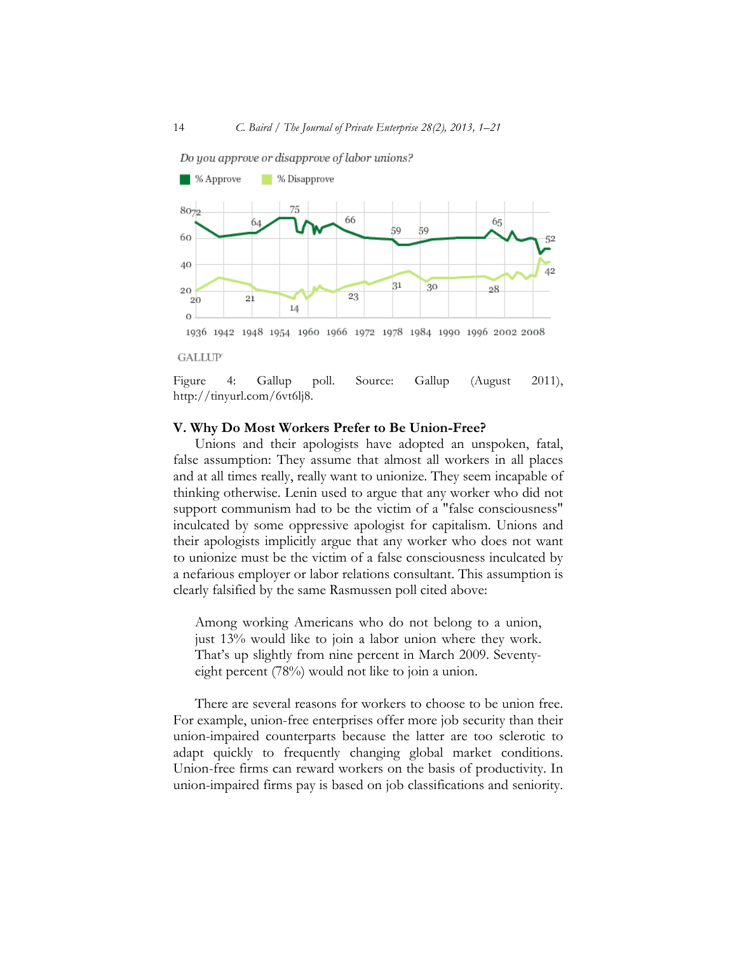

**GALLUP** 

Figure 4: Gallup poll. Source: Gallup (August 2011), http://tinyurl.com/6vt6lj8.

#### **V. Why Do Most Workers Prefer to Be Union-Free?**

Unions and their apologists have adopted an unspoken, fatal, false assumption: They assume that almost all workers in all places and at all times really, really want to unionize. They seem incapable of thinking otherwise. Lenin used to argue that any worker who did not support communism had to be the victim of a "false consciousness" inculcated by some oppressive apologist for capitalism. Unions and their apologists implicitly argue that any worker who does not want to unionize must be the victim of a false consciousness inculcated by a nefarious employer or labor relations consultant. This assumption is clearly falsified by the same Rasmussen poll cited above:

Among working Americans who do not belong to a union, just 13% would like to join a labor union where they work. That's up slightly from nine percent in March 2009. Seventyeight percent (78%) would not like to join a union.

There are several reasons for workers to choose to be union free. For example, union-free enterprises offer more job security than their union-impaired counterparts because the latter are too sclerotic to adapt quickly to frequently changing global market conditions. Union-free firms can reward workers on the basis of productivity. In union-impaired firms pay is based on job classifications and seniority.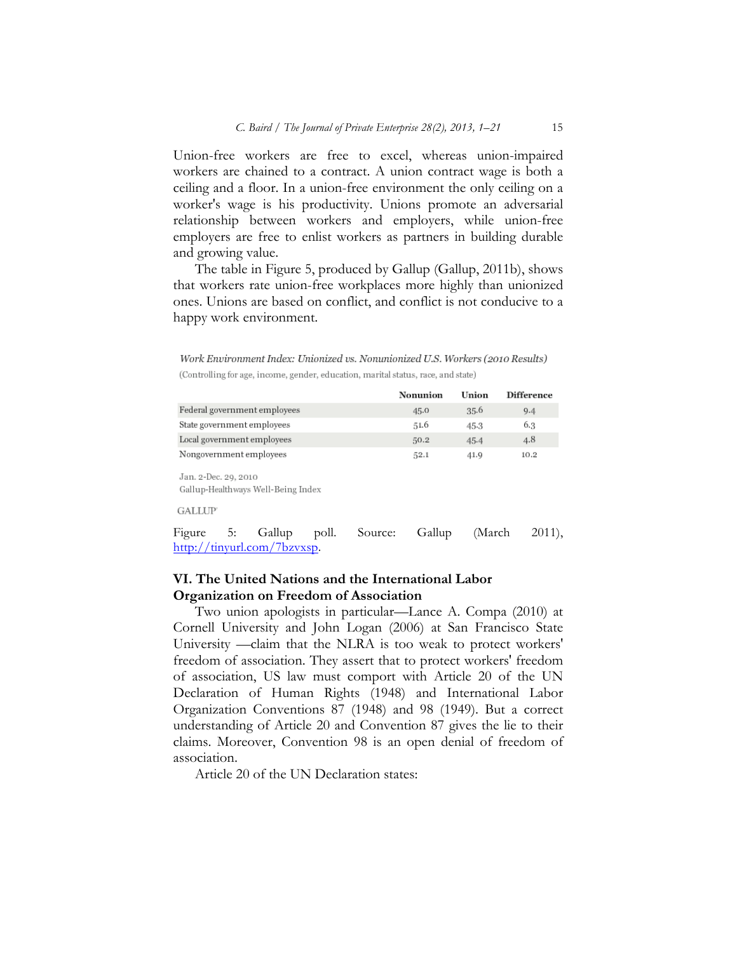Union-free workers are free to excel, whereas union-impaired workers are chained to a contract. A union contract wage is both a ceiling and a floor. In a union-free environment the only ceiling on a worker's wage is his productivity. Unions promote an adversarial relationship between workers and employers, while union-free employers are free to enlist workers as partners in building durable and growing value.

The table in Figure 5, produced by Gallup (Gallup, 2011b), shows that workers rate union-free workplaces more highly than unionized ones. Unions are based on conflict, and conflict is not conducive to a happy work environment.

Work Environment Index: Unionized vs. Nonunionized U.S. Workers (2010 Results) (Controlling for age, income, gender, education, marital status, race, and state)

|                              | Nonunion | Union | <b>Difference</b> |
|------------------------------|----------|-------|-------------------|
| Federal government employees | 45.0     | 35.6  | 9.4               |
| State government employees   | 51.6     | 45.3  | 6.3               |
| Local government employees   | 50.2     | 45.4  | 4.8               |
| Nongovernment employees      | 52.1     | 41.9  | 10.2              |

Jan. 2-Dec. 29, 2010 Gallup-Healthways Well-Being Index

**GALLUP** 

Figure 5: Gallup poll. Source: Gallup (March 2011), http://tinyurl.com/7bzvxsp.

## **VI. The United Nations and the International Labor Organization on Freedom of Association**

Two union apologists in particular—Lance A. Compa (2010) at Cornell University and John Logan (2006) at San Francisco State University —claim that the NLRA is too weak to protect workers' freedom of association. They assert that to protect workers' freedom of association, US law must comport with Article 20 of the UN Declaration of Human Rights (1948) and International Labor Organization Conventions 87 (1948) and 98 (1949). But a correct understanding of Article 20 and Convention 87 gives the lie to their claims. Moreover, Convention 98 is an open denial of freedom of association.

Article 20 of the UN Declaration states: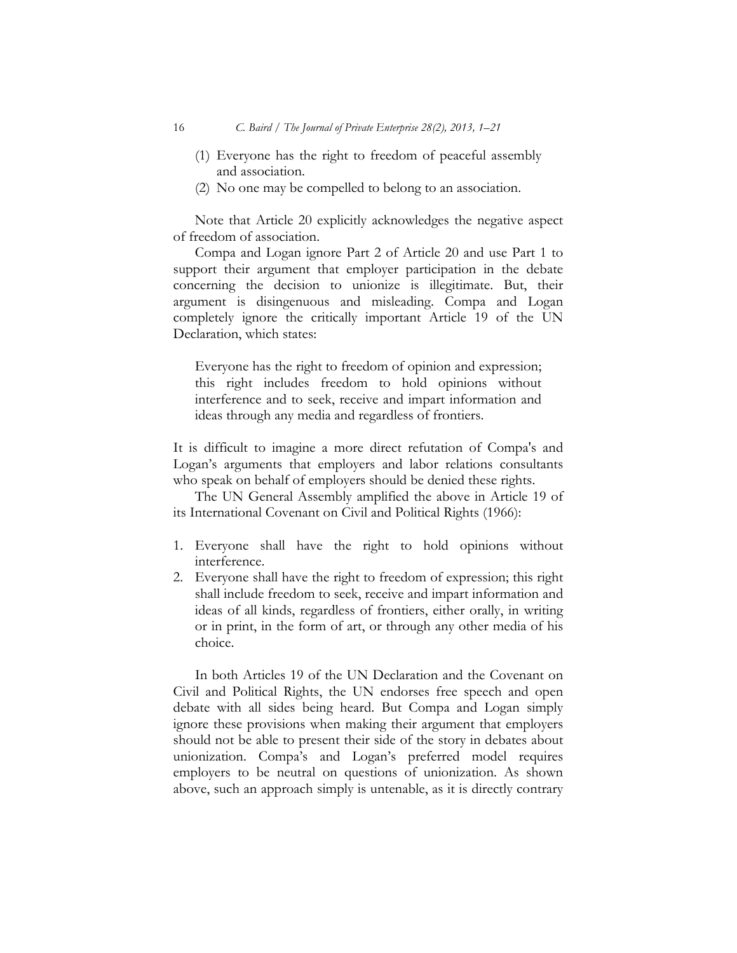- (1) Everyone has the right to freedom of peaceful assembly and association.
- (2) No one may be compelled to belong to an association.

Note that Article 20 explicitly acknowledges the negative aspect of freedom of association.

Compa and Logan ignore Part 2 of Article 20 and use Part 1 to support their argument that employer participation in the debate concerning the decision to unionize is illegitimate. But, their argument is disingenuous and misleading. Compa and Logan completely ignore the critically important Article 19 of the UN Declaration, which states:

Everyone has the right to freedom of opinion and expression; this right includes freedom to hold opinions without interference and to seek, receive and impart information and ideas through any media and regardless of frontiers.

It is difficult to imagine a more direct refutation of Compa's and Logan's arguments that employers and labor relations consultants who speak on behalf of employers should be denied these rights.

The UN General Assembly amplified the above in Article 19 of its International Covenant on Civil and Political Rights (1966):

- 1. Everyone shall have the right to hold opinions without interference.
- 2. Everyone shall have the right to freedom of expression; this right shall include freedom to seek, receive and impart information and ideas of all kinds, regardless of frontiers, either orally, in writing or in print, in the form of art, or through any other media of his choice.

In both Articles 19 of the UN Declaration and the Covenant on Civil and Political Rights, the UN endorses free speech and open debate with all sides being heard. But Compa and Logan simply ignore these provisions when making their argument that employers should not be able to present their side of the story in debates about unionization. Compa's and Logan's preferred model requires employers to be neutral on questions of unionization. As shown above, such an approach simply is untenable, as it is directly contrary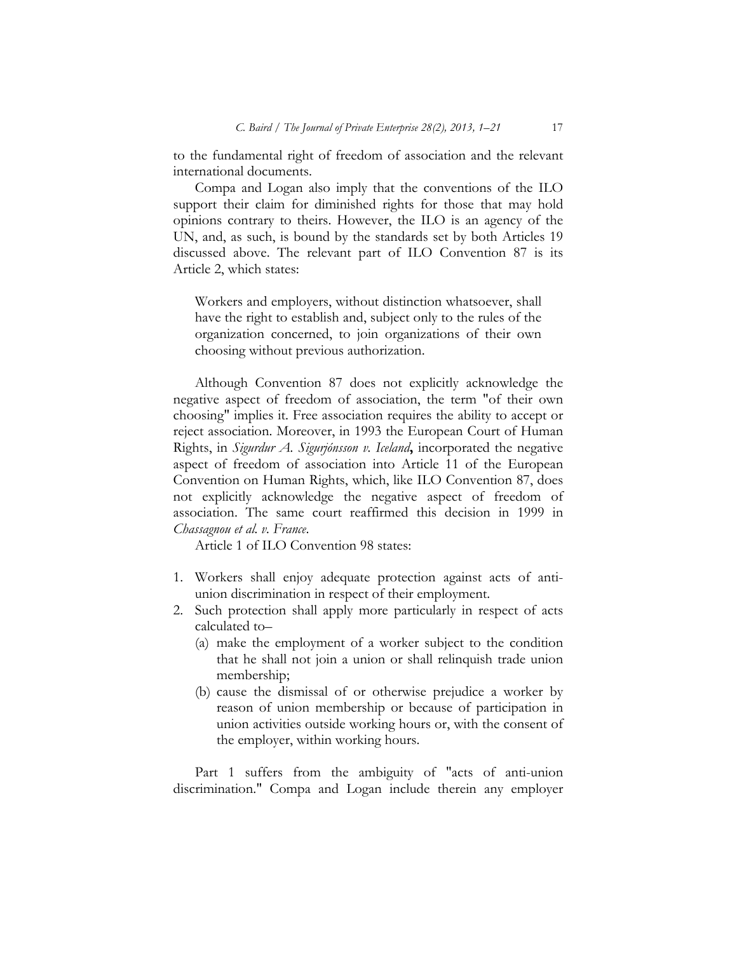to the fundamental right of freedom of association and the relevant international documents.

Compa and Logan also imply that the conventions of the ILO support their claim for diminished rights for those that may hold opinions contrary to theirs. However, the ILO is an agency of the UN, and, as such, is bound by the standards set by both Articles 19 discussed above. The relevant part of ILO Convention 87 is its Article 2, which states:

Workers and employers, without distinction whatsoever, shall have the right to establish and, subject only to the rules of the organization concerned, to join organizations of their own choosing without previous authorization.

Although Convention 87 does not explicitly acknowledge the negative aspect of freedom of association, the term "of their own choosing" implies it. Free association requires the ability to accept or reject association. Moreover, in 1993 the European Court of Human Rights, in *Sigurdur A. Sigurjónsson v. Iceland***,** incorporated the negative aspect of freedom of association into Article 11 of the European Convention on Human Rights, which, like ILO Convention 87, does not explicitly acknowledge the negative aspect of freedom of association. The same court reaffirmed this decision in 1999 in *Chassagnou et al. v. France*.

Article 1 of ILO Convention 98 states:

- 1. Workers shall enjoy adequate protection against acts of antiunion discrimination in respect of their employment.
- 2. Such protection shall apply more particularly in respect of acts calculated to–
	- (a) make the employment of a worker subject to the condition that he shall not join a union or shall relinquish trade union membership;
	- (b) cause the dismissal of or otherwise prejudice a worker by reason of union membership or because of participation in union activities outside working hours or, with the consent of the employer, within working hours.

Part 1 suffers from the ambiguity of "acts of anti-union discrimination." Compa and Logan include therein any employer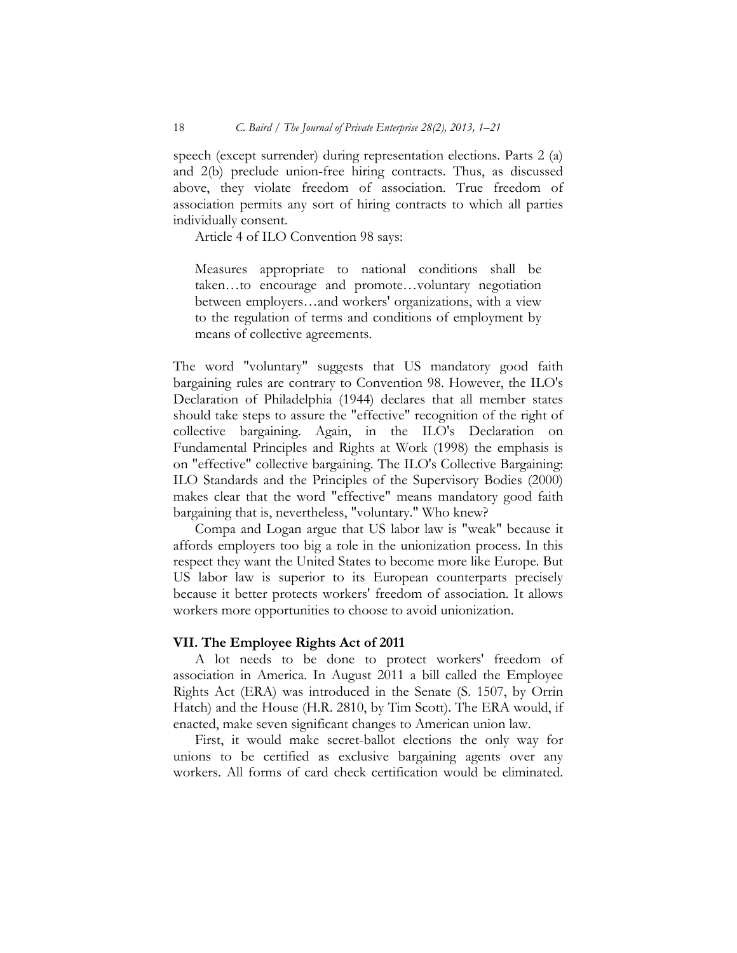speech (except surrender) during representation elections. Parts 2 (a) and 2(b) preclude union-free hiring contracts. Thus, as discussed above, they violate freedom of association. True freedom of association permits any sort of hiring contracts to which all parties individually consent.

Article 4 of ILO Convention 98 says:

Measures appropriate to national conditions shall be taken…to encourage and promote…voluntary negotiation between employers…and workers' organizations, with a view to the regulation of terms and conditions of employment by means of collective agreements.

The word "voluntary" suggests that US mandatory good faith bargaining rules are contrary to Convention 98. However, the ILO's Declaration of Philadelphia (1944) declares that all member states should take steps to assure the "effective" recognition of the right of collective bargaining. Again, in the ILO's Declaration on Fundamental Principles and Rights at Work (1998) the emphasis is on "effective" collective bargaining. The ILO's Collective Bargaining: ILO Standards and the Principles of the Supervisory Bodies (2000) makes clear that the word "effective" means mandatory good faith bargaining that is, nevertheless, "voluntary." Who knew?

Compa and Logan argue that US labor law is "weak" because it affords employers too big a role in the unionization process. In this respect they want the United States to become more like Europe. But US labor law is superior to its European counterparts precisely because it better protects workers' freedom of association. It allows workers more opportunities to choose to avoid unionization.

## **VII. The Employee Rights Act of 2011**

A lot needs to be done to protect workers' freedom of association in America. In August 2011 a bill called the Employee Rights Act (ERA) was introduced in the Senate (S. 1507, by Orrin Hatch) and the House (H.R. 2810, by Tim Scott). The ERA would, if enacted, make seven significant changes to American union law.

First, it would make secret-ballot elections the only way for unions to be certified as exclusive bargaining agents over any workers. All forms of card check certification would be eliminated.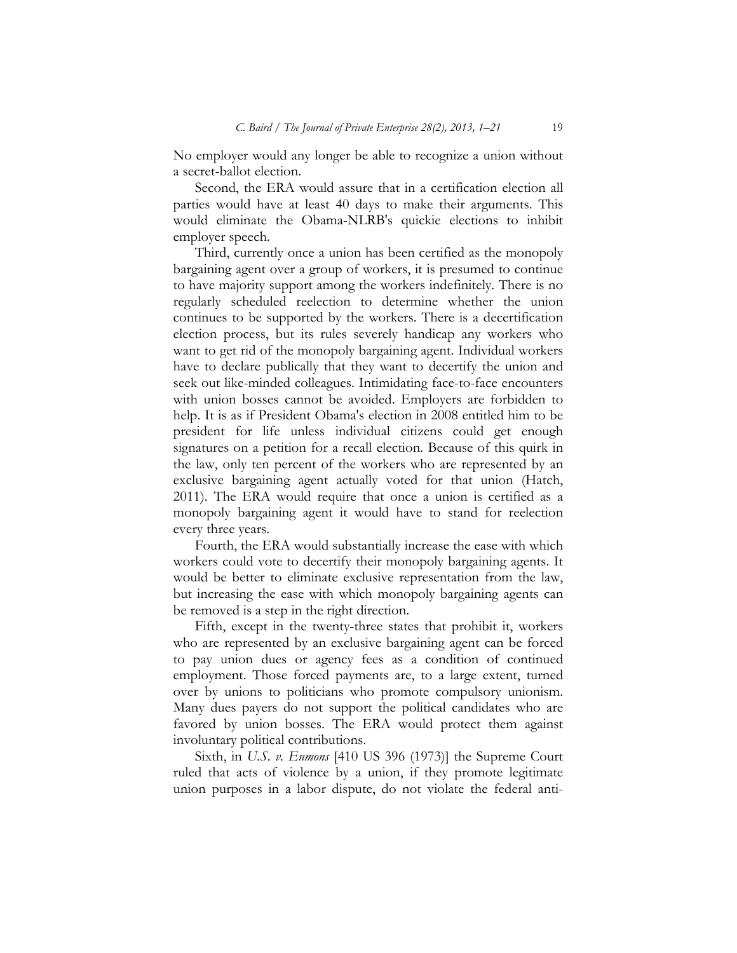No employer would any longer be able to recognize a union without a secret-ballot election.

Second, the ERA would assure that in a certification election all parties would have at least 40 days to make their arguments. This would eliminate the Obama-NLRB's quickie elections to inhibit employer speech.

Third, currently once a union has been certified as the monopoly bargaining agent over a group of workers, it is presumed to continue to have majority support among the workers indefinitely. There is no regularly scheduled reelection to determine whether the union continues to be supported by the workers. There is a decertification election process, but its rules severely handicap any workers who want to get rid of the monopoly bargaining agent. Individual workers have to declare publically that they want to decertify the union and seek out like-minded colleagues. Intimidating face-to-face encounters with union bosses cannot be avoided. Employers are forbidden to help. It is as if President Obama's election in 2008 entitled him to be president for life unless individual citizens could get enough signatures on a petition for a recall election. Because of this quirk in the law, only ten percent of the workers who are represented by an exclusive bargaining agent actually voted for that union (Hatch, 2011). The ERA would require that once a union is certified as a monopoly bargaining agent it would have to stand for reelection every three years.

Fourth, the ERA would substantially increase the ease with which workers could vote to decertify their monopoly bargaining agents. It would be better to eliminate exclusive representation from the law, but increasing the ease with which monopoly bargaining agents can be removed is a step in the right direction.

Fifth, except in the twenty-three states that prohibit it, workers who are represented by an exclusive bargaining agent can be forced to pay union dues or agency fees as a condition of continued employment. Those forced payments are, to a large extent, turned over by unions to politicians who promote compulsory unionism. Many dues payers do not support the political candidates who are favored by union bosses. The ERA would protect them against involuntary political contributions.

Sixth, in *U.S. v. Enmons* [410 US 396 (1973)] the Supreme Court ruled that acts of violence by a union, if they promote legitimate union purposes in a labor dispute, do not violate the federal anti-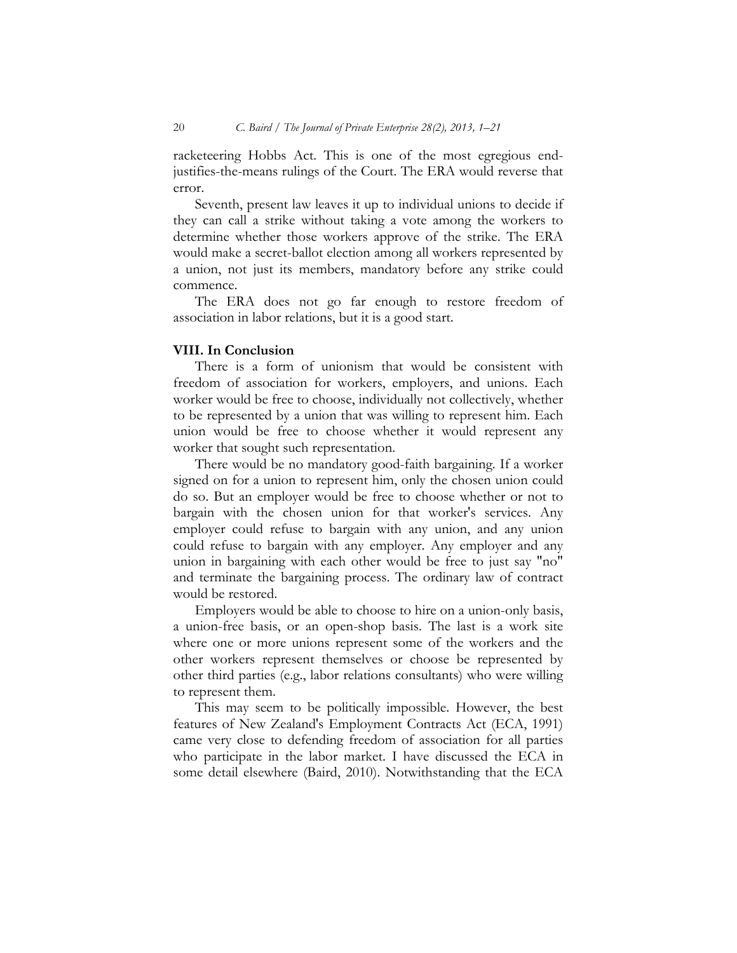racketeering Hobbs Act. This is one of the most egregious endjustifies-the-means rulings of the Court. The ERA would reverse that error.

Seventh, present law leaves it up to individual unions to decide if they can call a strike without taking a vote among the workers to determine whether those workers approve of the strike. The ERA would make a secret-ballot election among all workers represented by a union, not just its members, mandatory before any strike could commence.

The ERA does not go far enough to restore freedom of association in labor relations, but it is a good start.

### **VIII. In Conclusion**

There is a form of unionism that would be consistent with freedom of association for workers, employers, and unions. Each worker would be free to choose, individually not collectively, whether to be represented by a union that was willing to represent him. Each union would be free to choose whether it would represent any worker that sought such representation.

There would be no mandatory good-faith bargaining. If a worker signed on for a union to represent him, only the chosen union could do so. But an employer would be free to choose whether or not to bargain with the chosen union for that worker's services. Any employer could refuse to bargain with any union, and any union could refuse to bargain with any employer. Any employer and any union in bargaining with each other would be free to just say "no" and terminate the bargaining process. The ordinary law of contract would be restored.

Employers would be able to choose to hire on a union-only basis, a union-free basis, or an open-shop basis. The last is a work site where one or more unions represent some of the workers and the other workers represent themselves or choose be represented by other third parties (e.g., labor relations consultants) who were willing to represent them.

This may seem to be politically impossible. However, the best features of New Zealand's Employment Contracts Act (ECA, 1991) came very close to defending freedom of association for all parties who participate in the labor market. I have discussed the ECA in some detail elsewhere (Baird, 2010). Notwithstanding that the ECA